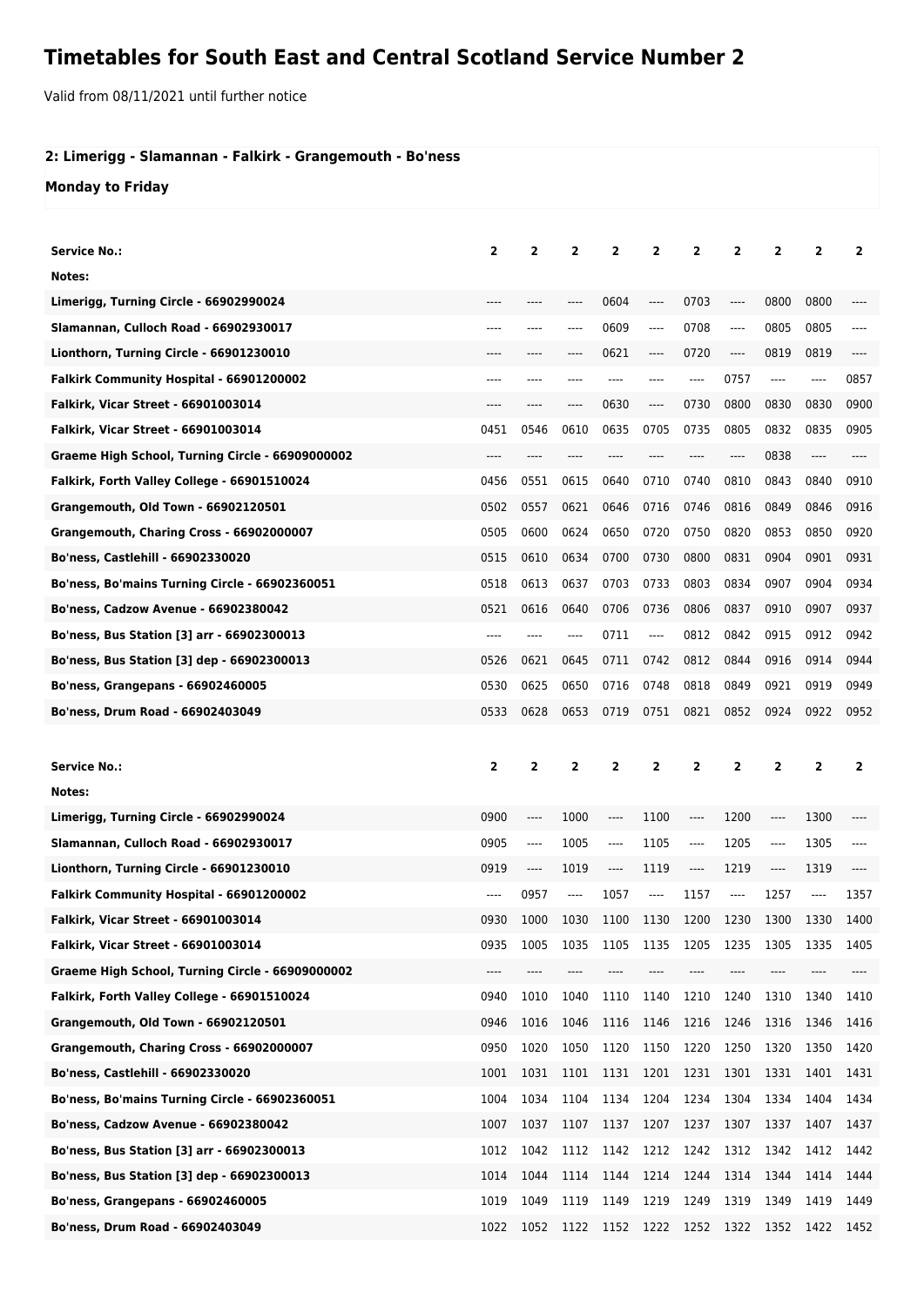## **Timetables for South East and Central Scotland Service Number 2**

Valid from 08/11/2021 until further notice

## **2: Limerigg - Slamannan - Falkirk - Grangemouth - Bo'ness**

## **Monday to Friday**

| <b>Service No.:</b>                               | $\mathbf{2}$   | $\overline{2}$          | $\overline{2}$ | 2                       | $\overline{2}$ | 2              | $\overline{2}$ | $\overline{2}$ | $\overline{2}$ | 2              |
|---------------------------------------------------|----------------|-------------------------|----------------|-------------------------|----------------|----------------|----------------|----------------|----------------|----------------|
| Notes:                                            |                |                         |                |                         |                |                |                |                |                |                |
| Limerigg, Turning Circle - 66902990024            |                |                         |                | 0604                    | ----           | 0703           | ----           | 0800           | 0800           |                |
| Slamannan, Culloch Road - 66902930017             | ----           |                         | ----           | 0609                    | ----           | 0708           | ----           | 0805           | 0805           |                |
| Lionthorn, Turning Circle - 66901230010           | ----           | ----                    |                | 0621                    | ----           | 0720           | ----           | 0819           | 0819           |                |
| Falkirk Community Hospital - 66901200002          | ----           |                         |                |                         |                | $---$          | 0757           | ----           | ----           | 0857           |
| <b>Falkirk, Vicar Street - 66901003014</b>        | ----           | ----                    | ----           | 0630                    | ----           | 0730           | 0800           | 0830           | 0830           | 0900           |
| Falkirk, Vicar Street - 66901003014               | 0451           | 0546                    | 0610           | 0635                    | 0705           | 0735           | 0805           | 0832           | 0835           | 0905           |
| Graeme High School, Turning Circle - 66909000002  | ----           | ----                    | ----           | ----                    |                | ----           | ----           | 0838           | $\cdots$       | ----           |
| Falkirk, Forth Valley College - 66901510024       | 0456           | 0551                    | 0615           | 0640                    | 0710           | 0740           | 0810           | 0843           | 0840           | 0910           |
| Grangemouth, Old Town - 66902120501               | 0502           | 0557                    | 0621           | 0646                    | 0716           | 0746           | 0816           | 0849           | 0846           | 0916           |
| Grangemouth, Charing Cross - 66902000007          | 0505           | 0600                    | 0624           | 0650                    | 0720           | 0750           | 0820           | 0853           | 0850           | 0920           |
| Bo'ness, Castlehill - 66902330020                 | 0515           | 0610                    | 0634           | 0700                    | 0730           | 0800           | 0831           | 0904           | 0901           | 0931           |
| Bo'ness, Bo'mains Turning Circle - 66902360051    | 0518           | 0613                    | 0637           | 0703                    | 0733           | 0803           | 0834           | 0907           | 0904           | 0934           |
| <b>Bo'ness, Cadzow Avenue - 66902380042</b>       | 0521           | 0616                    | 0640           | 0706                    | 0736           | 0806           | 0837           | 0910           | 0907           | 0937           |
| <b>Bo'ness, Bus Station [3] arr - 66902300013</b> | ----           | ----                    | ----           | 0711                    | ----           | 0812           | 0842           | 0915           | 0912           | 0942           |
| Bo'ness, Bus Station [3] dep - 66902300013        | 0526           | 0621                    | 0645           | 0711                    | 0742           | 0812           | 0844           | 0916           | 0914           | 0944           |
| Bo'ness, Grangepans - 66902460005                 | 0530           | 0625                    | 0650           | 0716                    | 0748           | 0818           | 0849           | 0921           | 0919           | 0949           |
| <b>Bo'ness, Drum Road - 66902403049</b>           | 0533           | 0628                    | 0653           | 0719                    | 0751           | 0821           | 0852           | 0924           | 0922           | 0952           |
|                                                   |                |                         |                |                         |                |                |                |                |                |                |
|                                                   |                |                         |                |                         |                |                |                |                |                |                |
| <b>Service No.:</b>                               | $\overline{2}$ | $\overline{\mathbf{2}}$ | $\overline{2}$ | $\overline{\mathbf{2}}$ | $\overline{2}$ | $\overline{2}$ | $\mathbf{2}$   | 2              | $\overline{2}$ | $\overline{2}$ |
| Notes:                                            |                |                         |                |                         |                |                |                |                |                |                |
| Limerigg, Turning Circle - 66902990024            | 0900           | ----                    | 1000           | ----                    | 1100           | $---$          | 1200           | ----           | 1300           |                |
| Slamannan, Culloch Road - 66902930017             | 0905           | ----                    | 1005           | ----                    | 1105           | $---$          | 1205           | ----           | 1305           |                |
| Lionthorn, Turning Circle - 66901230010           | 0919           | ----                    | 1019           | ----                    | 1119           | ----           | 1219           | ----           | 1319           |                |
| Falkirk Community Hospital - 66901200002          | ----           | 0957                    | $---$          | 1057                    | ----           | 1157           | $---$          | 1257           |                | 1357           |
| Falkirk, Vicar Street - 66901003014               | 0930           | 1000                    | 1030           | 1100                    | 1130           | 1200           | 1230           | 1300           | 1330           | 1400           |
| <b>Falkirk, Vicar Street - 66901003014</b>        | 0935           | 1005                    | 1035           | 1105                    | 1135           | 1205           | 1235           | 1305           | 1335           | 1405           |
| Graeme High School, Turning Circle - 66909000002  |                |                         |                |                         |                |                |                |                |                |                |
| Falkirk, Forth Valley College - 66901510024       | 0940           | 1010                    | 1040           | 1110                    | 1140           | 1210           | 1240           | 1310           | 1340           | 1410           |
| <b>Grangemouth, Old Town - 66902120501</b>        | 0946           | 1016                    | 1046           | 1116                    | 1146           | 1216           | 1246           | 1316           | 1346           | 1416           |
| Grangemouth, Charing Cross - 66902000007          | 0950           | 1020                    | 1050           | 1120                    | 1150           | 1220           | 1250           | 1320           | 1350           | 1420           |
| Bo'ness, Castlehill - 66902330020                 | 1001           | 1031                    | 1101           | 1131                    | 1201           | 1231           | 1301           | 1331           | 1401           | 1431           |
| Bo'ness, Bo'mains Turning Circle - 66902360051    | 1004           | 1034                    | 1104           | 1134                    | 1204           | 1234           | 1304           | 1334           | 1404           | 1434           |
| <b>Bo'ness, Cadzow Avenue - 66902380042</b>       | 1007           | 1037                    | 1107           | 1137                    | 1207           | 1237           | 1307           | 1337           | 1407           | 1437           |
| Bo'ness, Bus Station [3] arr - 66902300013        | 1012           | 1042                    | 1112           | 1142                    | 1212           | 1242           | 1312           | 1342           | 1412           | 1442           |
| Bo'ness, Bus Station [3] dep - 66902300013        | 1014           | 1044                    | 1114           | 1144                    | 1214           | 1244           | 1314           | 1344           | 1414           | 1444           |
| <b>Bo'ness, Grangepans - 66902460005</b>          | 1019           | 1049                    | 1119           | 1149                    | 1219           | 1249           | 1319           | 1349           | 1419           | 1449           |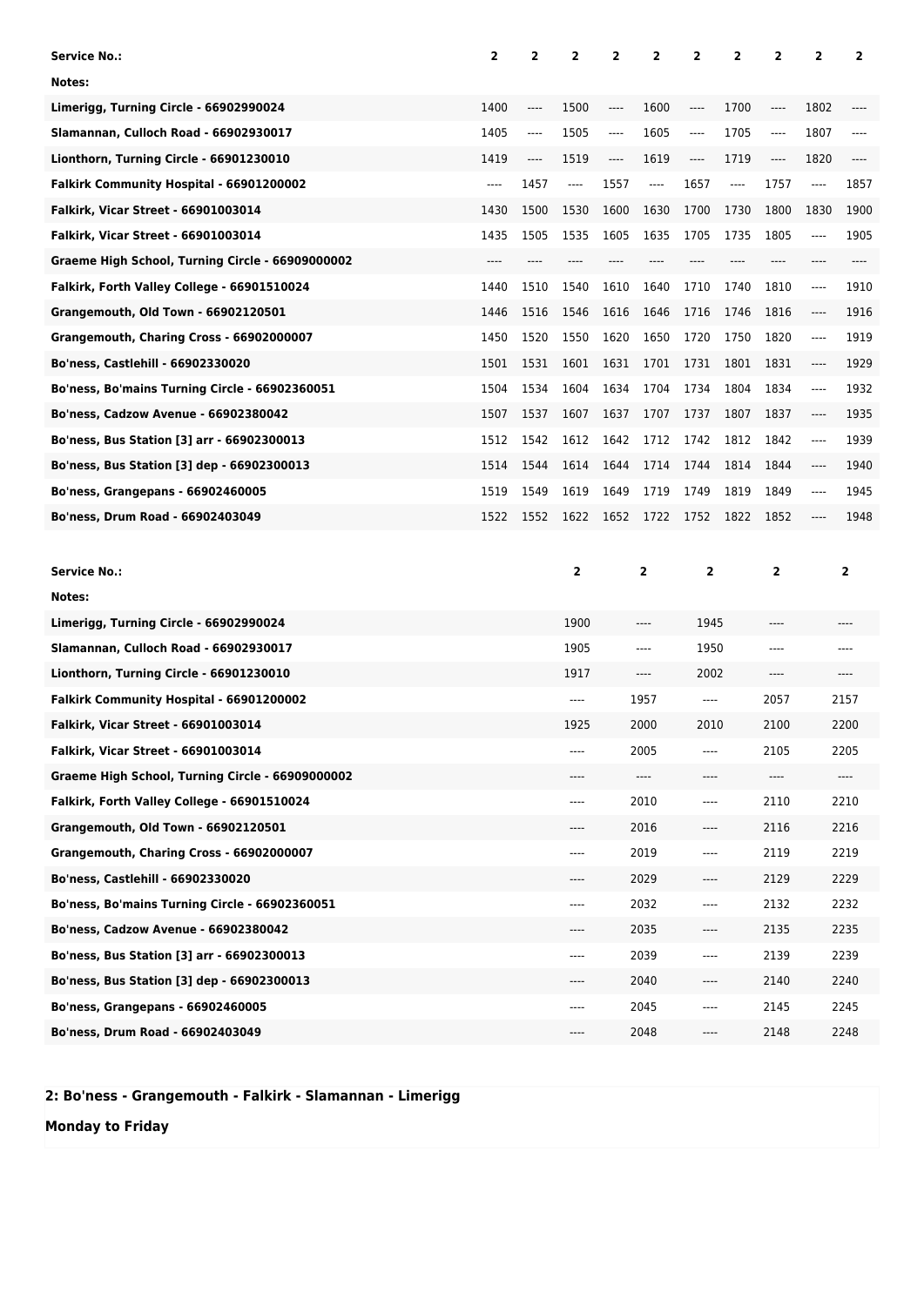| <b>Service No.:</b>                              | 2     | 2        | $\overline{2}$ | 2    | 2                       | 2              | 2     | 2              | $\overline{2}$ | $\overline{2}$          |
|--------------------------------------------------|-------|----------|----------------|------|-------------------------|----------------|-------|----------------|----------------|-------------------------|
| Notes:                                           |       |          |                |      |                         |                |       |                |                |                         |
| Limerigg, Turning Circle - 66902990024           | 1400  | ----     | 1500           | ---- | 1600                    | ----           | 1700  | ----           | 1802           | ----                    |
| Slamannan, Culloch Road - 66902930017            | 1405  | $\cdots$ | 1505           | ---- | 1605                    | $---$          | 1705  | $---$          | 1807           | $---$                   |
| Lionthorn, Turning Circle - 66901230010          | 1419  | ----     | 1519           | ---- | 1619                    | ----           | 1719  | ----           | 1820           | $---$                   |
| Falkirk Community Hospital - 66901200002         | $---$ | 1457     | ----           | 1557 | ----                    | 1657           | ----  | 1757           | ----           | 1857                    |
| <b>Falkirk, Vicar Street - 66901003014</b>       | 1430  | 1500     | 1530           | 1600 | 1630                    | 1700           | 1730  | 1800           | 1830           | 1900                    |
| <b>Falkirk, Vicar Street - 66901003014</b>       | 1435  | 1505     | 1535           | 1605 | 1635                    | 1705           | 1735  | 1805           | $\cdots$       | 1905                    |
| Graeme High School, Turning Circle - 66909000002 | $---$ | ----     | ----           | ---- | ----                    | $---$          | $---$ | ----           | $---$          | $---$                   |
| Falkirk, Forth Valley College - 66901510024      | 1440  | 1510     | 1540           | 1610 | 1640                    | 1710           | 1740  | 1810           | $\cdots$       | 1910                    |
| <b>Grangemouth, Old Town - 66902120501</b>       | 1446  | 1516     | 1546           | 1616 | 1646                    | 1716           | 1746  | 1816           | $\cdots$       | 1916                    |
| Grangemouth, Charing Cross - 66902000007         | 1450  | 1520     | 1550           | 1620 | 1650                    | 1720           | 1750  | 1820           | ----           | 1919                    |
| <b>Bo'ness, Castlehill - 66902330020</b>         | 1501  | 1531     | 1601           | 1631 | 1701                    | 1731           | 1801  | 1831           | ----           | 1929                    |
| Bo'ness, Bo'mains Turning Circle - 66902360051   | 1504  | 1534     | 1604           | 1634 | 1704                    | 1734           | 1804  | 1834           | $---$          | 1932                    |
| <b>Bo'ness, Cadzow Avenue - 66902380042</b>      | 1507  | 1537     | 1607           | 1637 | 1707                    | 1737           | 1807  | 1837           | ----           | 1935                    |
| Bo'ness, Bus Station [3] arr - 66902300013       | 1512  | 1542     | 1612           | 1642 | 1712                    | 1742           | 1812  | 1842           | $---$          | 1939                    |
| Bo'ness, Bus Station [3] dep - 66902300013       | 1514  | 1544     | 1614           | 1644 | 1714                    | 1744           | 1814  | 1844           | ----           | 1940                    |
| <b>Bo'ness, Grangepans - 66902460005</b>         | 1519  | 1549     | 1619           | 1649 | 1719                    | 1749           | 1819  | 1849           | ----           | 1945                    |
| Bo'ness, Drum Road - 66902403049                 | 1522  | 1552     | 1622           | 1652 | 1722                    | 1752           | 1822  | 1852           | ----           | 1948                    |
|                                                  |       |          |                |      |                         |                |       |                |                |                         |
| <b>Service No.:</b>                              |       |          | $\overline{2}$ |      | $\overline{\mathbf{2}}$ | $\overline{2}$ |       | $\overline{2}$ |                | $\overline{\mathbf{2}}$ |
| Notes:                                           |       |          |                |      |                         |                |       |                |                |                         |
| Limerigg, Turning Circle - 66902990024           |       |          | 1900           |      |                         | 1945           |       |                |                |                         |
| Slamannan, Culloch Road - 66902930017            |       |          | 1905           |      | ----                    | 1950           |       | ----           |                |                         |
| Lionthorn, Turning Circle - 66901230010          |       |          | 1917           |      | ----                    | 2002           |       | ----           |                |                         |
| Falkirk Community Hospital - 66901200002         |       |          | $---$          |      | 1957                    | $---$          |       | 2057           |                | 2157                    |
| <b>Falkirk, Vicar Street - 66901003014</b>       |       |          | 1925           |      | 2000                    | 2010           |       | 2100           |                | 2200                    |
| <b>Falkirk, Vicar Street - 66901003014</b>       |       |          | ----           |      | 2005                    | $---$          |       | 2105           |                | 2205                    |
| Graeme High School, Turning Circle - 66909000002 |       |          |                |      | ----                    |                |       | ----           |                | ----                    |
| Falkirk, Forth Valley College - 66901510024      |       |          | ----           |      | 2010                    | ----           |       | 2110           |                | 2210                    |

**Grangemouth, Old Town - 66902120501** ---- 2016 ---- 2116 2216 **Grangemouth, Charing Cross - 66902000007** ---- 2019 ---- 2119 2219 **Bo'ness, Castlehill - 66902330020** ---- 2029 ---- 2129 2229 **Bo'ness, Bo'mains Turning Circle - 66902360051** ---- 2032 ---- 2132 2232 **Bo'ness, Cadzow Avenue - 66902380042** ---- 2035 ---- 2135 2235 **Bo'ness, Bus Station [3] arr - 66902300013** ---- 2039 ---- 2139 2239 **Bo'ness, Bus Station [3] dep - 66902300013** ---- 2040 ---- 2140 2240 **Bo'ness, Grangepans - 66902460005** ---- 2045 ---- 2145 2245 **Bo'ness, Drum Road - 66902403049** ---- 2048 ---- 2148 2248

**2: Bo'ness - Grangemouth - Falkirk - Slamannan - Limerigg**

**Monday to Friday**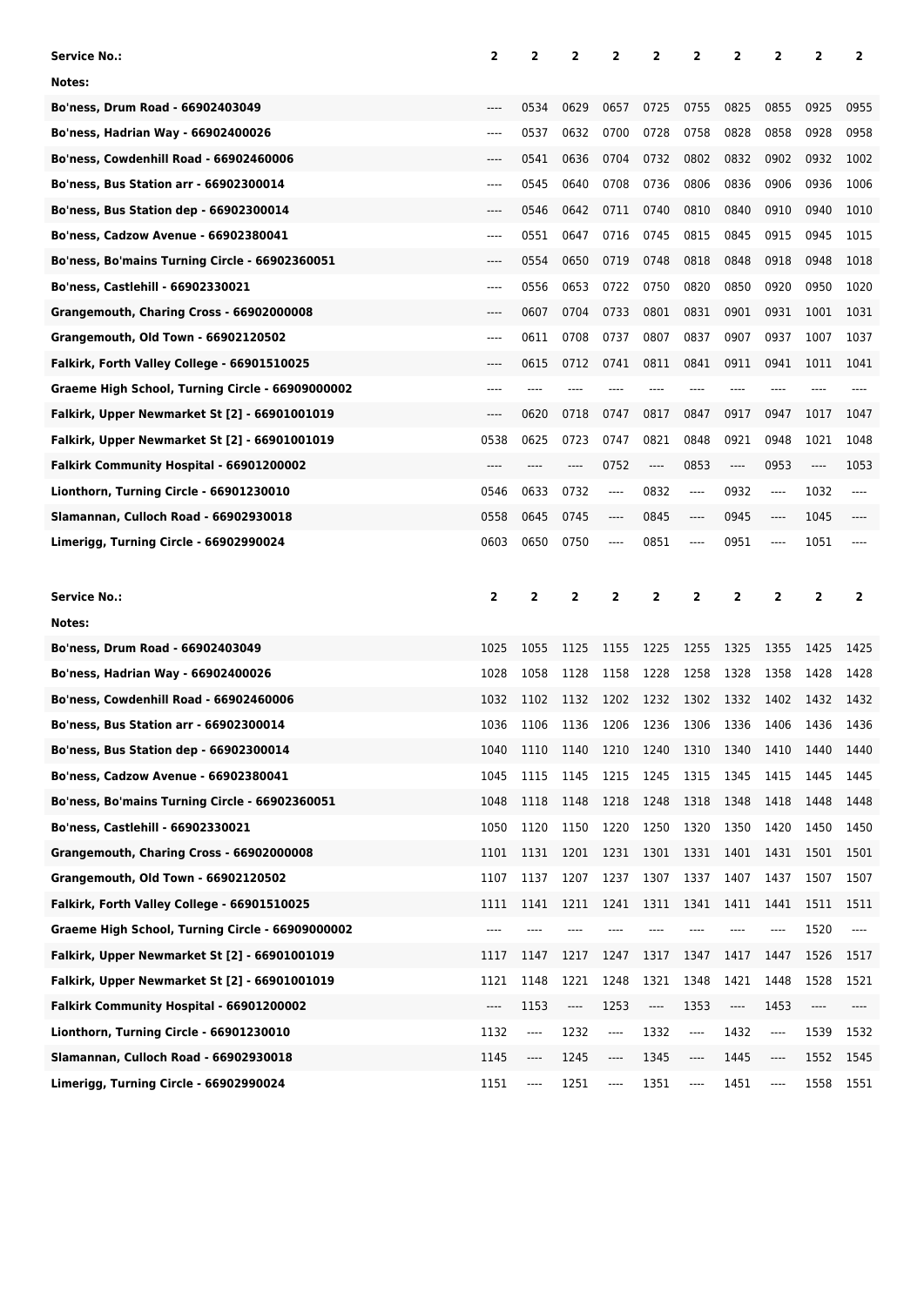| Service No.:                                     | 2     | 2    | $\overline{\mathbf{2}}$ | 2    | 2                                                                                                                                                                                                                                                                                                                                                                               | 2              | 2    | 2                                                    | 2    | 2    |
|--------------------------------------------------|-------|------|-------------------------|------|---------------------------------------------------------------------------------------------------------------------------------------------------------------------------------------------------------------------------------------------------------------------------------------------------------------------------------------------------------------------------------|----------------|------|------------------------------------------------------|------|------|
| Notes:                                           |       |      |                         |      |                                                                                                                                                                                                                                                                                                                                                                                 |                |      |                                                      |      |      |
| Bo'ness, Drum Road - 66902403049                 | ----  | 0534 | 0629                    | 0657 | 0725                                                                                                                                                                                                                                                                                                                                                                            | 0755           | 0825 | 0855                                                 | 0925 | 0955 |
| Bo'ness, Hadrian Way - 66902400026               | ----  | 0537 | 0632                    | 0700 | 0728                                                                                                                                                                                                                                                                                                                                                                            | 0758           | 0828 | 0858                                                 | 0928 | 0958 |
| Bo'ness, Cowdenhill Road - 66902460006           |       | 0541 | 0636                    | 0704 | 0732                                                                                                                                                                                                                                                                                                                                                                            | 0802           | 0832 | 0902                                                 | 0932 | 1002 |
| Bo'ness, Bus Station arr - 66902300014           | ----  | 0545 | 0640                    | 0708 | 0736                                                                                                                                                                                                                                                                                                                                                                            | 0806           | 0836 | 0906                                                 | 0936 | 1006 |
| <b>Bo'ness, Bus Station dep - 66902300014</b>    | ----  | 0546 | 0642                    | 0711 | 0740                                                                                                                                                                                                                                                                                                                                                                            | 0810           | 0840 | 0910                                                 | 0940 | 1010 |
| Bo'ness, Cadzow Avenue - 66902380041             | ----  | 0551 | 0647                    | 0716 | 0745                                                                                                                                                                                                                                                                                                                                                                            | 0815           | 0845 | 0915                                                 | 0945 | 1015 |
| Bo'ness, Bo'mains Turning Circle - 66902360051   |       | 0554 | 0650                    | 0719 | 0748                                                                                                                                                                                                                                                                                                                                                                            | 0818           | 0848 | 0918                                                 | 0948 | 1018 |
| Bo'ness, Castlehill - 66902330021                | ----  | 0556 | 0653                    | 0722 | 0750                                                                                                                                                                                                                                                                                                                                                                            | 0820           | 0850 | 0920                                                 | 0950 | 1020 |
| Grangemouth, Charing Cross - 66902000008         | ----  | 0607 | 0704                    | 0733 | 0801                                                                                                                                                                                                                                                                                                                                                                            | 0831           | 0901 | 0931                                                 | 1001 | 1031 |
| Grangemouth, Old Town - 66902120502              | ----  | 0611 | 0708                    | 0737 | 0807                                                                                                                                                                                                                                                                                                                                                                            | 0837           | 0907 | 0937                                                 | 1007 | 1037 |
| Falkirk, Forth Valley College - 66901510025      |       | 0615 | 0712                    | 0741 | 0811                                                                                                                                                                                                                                                                                                                                                                            | 0841           | 0911 | 0941                                                 | 1011 | 1041 |
| Graeme High School, Turning Circle - 66909000002 | ----  | ---- | ----                    | ---- |                                                                                                                                                                                                                                                                                                                                                                                 | ----           | ---- |                                                      |      |      |
| Falkirk, Upper Newmarket St [2] - 66901001019    | ----  | 0620 | 0718                    | 0747 | 0817                                                                                                                                                                                                                                                                                                                                                                            | 0847           | 0917 | 0947                                                 | 1017 | 1047 |
| Falkirk, Upper Newmarket St [2] - 66901001019    | 0538  | 0625 | 0723                    | 0747 | 0821                                                                                                                                                                                                                                                                                                                                                                            | 0848           | 0921 | 0948                                                 | 1021 | 1048 |
| Falkirk Community Hospital - 66901200002         | ----  | ---- | ----                    | 0752 | ----                                                                                                                                                                                                                                                                                                                                                                            | 0853           | ---- | 0953                                                 | ---- | 1053 |
| Lionthorn, Turning Circle - 66901230010          | 0546  | 0633 | 0732                    | ---- | 0832                                                                                                                                                                                                                                                                                                                                                                            | ----           | 0932 | ----                                                 | 1032 | ---- |
| Slamannan, Culloch Road - 66902930018            | 0558  | 0645 | 0745                    | ---- | 0845                                                                                                                                                                                                                                                                                                                                                                            | ----           | 0945 | $\hspace{0.05cm}\rule{0.7pt}{0.1ex}\hspace{0.025cm}$ | 1045 |      |
| Limerigg, Turning Circle - 66902990024           | 0603  | 0650 | 0750                    | ---- | 0851                                                                                                                                                                                                                                                                                                                                                                            | ----           | 0951 | ----                                                 | 1051 |      |
|                                                  |       |      |                         |      |                                                                                                                                                                                                                                                                                                                                                                                 |                |      |                                                      |      |      |
|                                                  |       |      |                         |      |                                                                                                                                                                                                                                                                                                                                                                                 |                |      |                                                      |      |      |
| Service No.:                                     | 2     | 2    | 2                       | 2    | 2                                                                                                                                                                                                                                                                                                                                                                               | $\overline{2}$ | 2    | 2                                                    | 2    | 2    |
| Notes:                                           |       |      |                         |      |                                                                                                                                                                                                                                                                                                                                                                                 |                |      |                                                      |      |      |
| Bo'ness, Drum Road - 66902403049                 | 1025  | 1055 | 1125                    | 1155 | 1225                                                                                                                                                                                                                                                                                                                                                                            | 1255           | 1325 | 1355                                                 | 1425 | 1425 |
| Bo'ness, Hadrian Way - 66902400026               | 1028  | 1058 | 1128                    | 1158 | 1228                                                                                                                                                                                                                                                                                                                                                                            | 1258           | 1328 | 1358                                                 | 1428 | 1428 |
| Bo'ness, Cowdenhill Road - 66902460006           | 1032  | 1102 | 1132                    | 1202 | 1232                                                                                                                                                                                                                                                                                                                                                                            | 1302           | 1332 | 1402                                                 | 1432 | 1432 |
| <b>Bo'ness, Bus Station arr - 66902300014</b>    | 1036  | 1106 | 1136                    | 1206 | 1236                                                                                                                                                                                                                                                                                                                                                                            | 1306           | 1336 | 1406                                                 | 1436 | 1436 |
| Bo'ness, Bus Station dep - 66902300014           | 1040  | 1110 | 1140                    |      | 1210 1240 1310                                                                                                                                                                                                                                                                                                                                                                  |                | 1340 | 1410                                                 | 1440 | 1440 |
| Bo'ness, Cadzow Avenue - 66902380041             | 1045  | 1115 | 1145                    | 1215 | 1245                                                                                                                                                                                                                                                                                                                                                                            | 1315           | 1345 | 1415                                                 | 1445 | 1445 |
| Bo'ness, Bo'mains Turning Circle - 66902360051   | 1048  | 1118 | 1148                    | 1218 | 1248                                                                                                                                                                                                                                                                                                                                                                            | 1318           | 1348 | 1418                                                 | 1448 | 1448 |
| Bo'ness, Castlehill - 66902330021                | 1050  | 1120 | 1150                    | 1220 | 1250                                                                                                                                                                                                                                                                                                                                                                            | 1320           | 1350 | 1420                                                 | 1450 | 1450 |
| Grangemouth, Charing Cross - 66902000008         | 1101  | 1131 | 1201                    | 1231 | 1301                                                                                                                                                                                                                                                                                                                                                                            | 1331           | 1401 | 1431                                                 | 1501 | 1501 |
| Grangemouth, Old Town - 66902120502              | 1107  | 1137 | 1207                    | 1237 | 1307                                                                                                                                                                                                                                                                                                                                                                            | 1337           | 1407 | 1437                                                 | 1507 | 1507 |
| Falkirk, Forth Valley College - 66901510025      | 1111  | 1141 | 1211                    | 1241 | 1311                                                                                                                                                                                                                                                                                                                                                                            | 1341           | 1411 | 1441                                                 | 1511 | 1511 |
| Graeme High School, Turning Circle - 66909000002 | $---$ | ---- | ----                    | ---- |                                                                                                                                                                                                                                                                                                                                                                                 | ----           | ---- | ----                                                 | 1520 | ---- |
| Falkirk, Upper Newmarket St [2] - 66901001019    | 1117  | 1147 | 1217                    | 1247 | 1317                                                                                                                                                                                                                                                                                                                                                                            | 1347           | 1417 | 1447                                                 | 1526 | 1517 |
| Falkirk, Upper Newmarket St [2] - 66901001019    | 1121  | 1148 | 1221                    | 1248 | 1321                                                                                                                                                                                                                                                                                                                                                                            | 1348           | 1421 | 1448                                                 | 1528 | 1521 |
| Falkirk Community Hospital - 66901200002         | ----  | 1153 | ----                    | 1253 | $\hspace{0.01em}\rule{0.7pt}{0.1em}\hspace{0.01em}\hspace{0.01em}\hspace{0.01em}\hspace{0.01em}\hspace{0.01em}\hspace{0.01em}\hspace{0.01em}\hspace{0.01em}\hspace{0.01em}\hspace{0.01em}\hspace{0.01em}\hspace{0.01em}\hspace{0.01em}\hspace{0.01em}\hspace{0.01em}\hspace{0.01em}\hspace{0.01em}\hspace{0.01em}\hspace{0.01em}\hspace{0.01em}\hspace{0.01em}\hspace{0.01em}\$ | 1353           | ---- | 1453                                                 | ---- | ---- |
| Lionthorn, Turning Circle - 66901230010          | 1132  | ---- | 1232                    | ---- | 1332                                                                                                                                                                                                                                                                                                                                                                            | ----           | 1432 | ----                                                 | 1539 | 1532 |
| Slamannan, Culloch Road - 66902930018            | 1145  | ---- | 1245                    | ---- | 1345                                                                                                                                                                                                                                                                                                                                                                            | ----           | 1445 | ----                                                 | 1552 | 1545 |